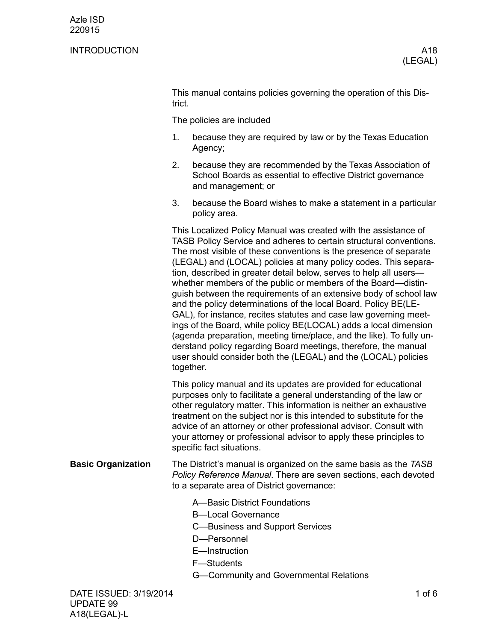## INTRODUCTION A18

This manual contains policies governing the operation of this District.

The policies are included

- 1. because they are required by law or by the Texas Education Agency;
- 2. because they are recommended by the Texas Association of School Boards as essential to effective District governance and management; or
- 3. because the Board wishes to make a statement in a particular policy area.

This Localized Policy Manual was created with the assistance of TASB Policy Service and adheres to certain structural conventions. The most visible of these conventions is the presence of separate (LEGAL) and (LOCAL) policies at many policy codes. This separation, described in greater detail below, serves to help all users whether members of the public or members of the Board—distinguish between the requirements of an extensive body of school law and the policy determinations of the local Board. Policy BE(LE-GAL), for instance, recites statutes and case law governing meetings of the Board, while policy BE(LOCAL) adds a local dimension (agenda preparation, meeting time/place, and the like). To fully understand policy regarding Board meetings, therefore, the manual user should consider both the (LEGAL) and the (LOCAL) policies together.

This policy manual and its updates are provided for educational purposes only to facilitate a general understanding of the law or other regulatory matter. This information is neither an exhaustive treatment on the subject nor is this intended to substitute for the advice of an attorney or other professional advisor. Consult with your attorney or professional advisor to apply these principles to specific fact situations.

- The District's manual is organized on the same basis as the *TASB Policy Reference Manual*. There are seven sections, each devoted to a separate area of District governance: **Basic Organization**
	- A—Basic District Foundations
	- B—Local Governance
	- C—Business and Support Services
	- D—Personnel
	- E—Instruction
	- F—Students
	- G—Community and Governmental Relations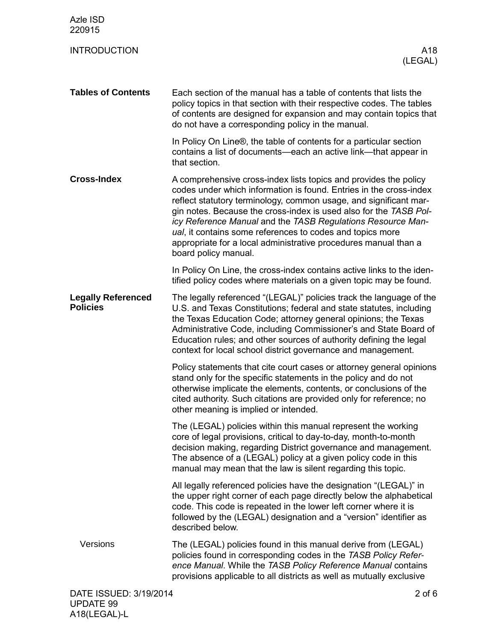| Azle ISD<br>220915                           |                                                                                                                                                                                                                                                                                                                                                                                                                                                                                                         |
|----------------------------------------------|---------------------------------------------------------------------------------------------------------------------------------------------------------------------------------------------------------------------------------------------------------------------------------------------------------------------------------------------------------------------------------------------------------------------------------------------------------------------------------------------------------|
| <b>INTRODUCTION</b>                          | A18<br>(LEGAL)                                                                                                                                                                                                                                                                                                                                                                                                                                                                                          |
| <b>Tables of Contents</b>                    | Each section of the manual has a table of contents that lists the<br>policy topics in that section with their respective codes. The tables<br>of contents are designed for expansion and may contain topics that<br>do not have a corresponding policy in the manual.                                                                                                                                                                                                                                   |
|                                              | In Policy On Line®, the table of contents for a particular section<br>contains a list of documents—each an active link—that appear in<br>that section.                                                                                                                                                                                                                                                                                                                                                  |
| <b>Cross-Index</b>                           | A comprehensive cross-index lists topics and provides the policy<br>codes under which information is found. Entries in the cross-index<br>reflect statutory terminology, common usage, and significant mar-<br>gin notes. Because the cross-index is used also for the TASB Pol-<br>icy Reference Manual and the TASB Regulations Resource Man-<br>ual, it contains some references to codes and topics more<br>appropriate for a local administrative procedures manual than a<br>board policy manual. |
|                                              | In Policy On Line, the cross-index contains active links to the iden-<br>tified policy codes where materials on a given topic may be found.                                                                                                                                                                                                                                                                                                                                                             |
| <b>Legally Referenced</b><br><b>Policies</b> | The legally referenced "(LEGAL)" policies track the language of the<br>U.S. and Texas Constitutions; federal and state statutes, including<br>the Texas Education Code; attorney general opinions; the Texas<br>Administrative Code, including Commissioner's and State Board of<br>Education rules; and other sources of authority defining the legal<br>context for local school district governance and management.                                                                                  |
|                                              | Policy statements that cite court cases or attorney general opinions<br>stand only for the specific statements in the policy and do not<br>otherwise implicate the elements, contents, or conclusions of the<br>cited authority. Such citations are provided only for reference; no<br>other meaning is implied or intended.                                                                                                                                                                            |
|                                              | The (LEGAL) policies within this manual represent the working<br>core of legal provisions, critical to day-to-day, month-to-month<br>decision making, regarding District governance and management.<br>The absence of a (LEGAL) policy at a given policy code in this<br>manual may mean that the law is silent regarding this topic.                                                                                                                                                                   |
|                                              | All legally referenced policies have the designation "(LEGAL)" in<br>the upper right corner of each page directly below the alphabetical<br>code. This code is repeated in the lower left corner where it is<br>followed by the (LEGAL) designation and a "version" identifier as<br>described below.                                                                                                                                                                                                   |
| Versions                                     | The (LEGAL) policies found in this manual derive from (LEGAL)<br>policies found in corresponding codes in the TASB Policy Refer-<br>ence Manual. While the TASB Policy Reference Manual contains<br>provisions applicable to all districts as well as mutually exclusive                                                                                                                                                                                                                                |
| DATE ISSUED: 3/19/2014<br><b>UPDATE 99</b>   | $2$ of $6$                                                                                                                                                                                                                                                                                                                                                                                                                                                                                              |

A18(LEGAL)-L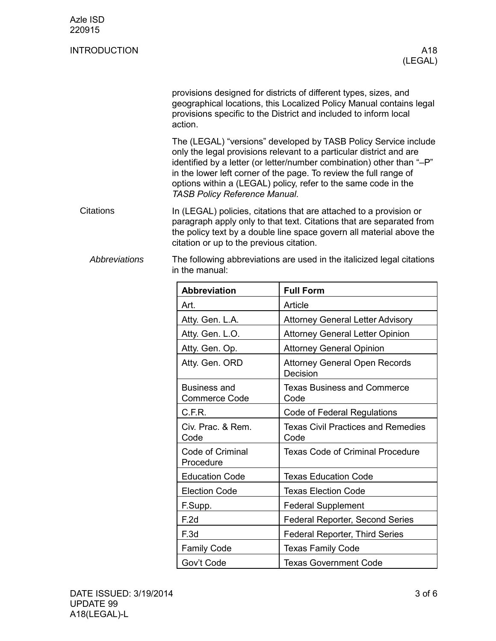| Azle ISD<br>220915   |                                                                                                                                                                                                                                                                                                                                                                                                |                                                                                                                                                                                                             |  |
|----------------------|------------------------------------------------------------------------------------------------------------------------------------------------------------------------------------------------------------------------------------------------------------------------------------------------------------------------------------------------------------------------------------------------|-------------------------------------------------------------------------------------------------------------------------------------------------------------------------------------------------------------|--|
| <b>INTRODUCTION</b>  |                                                                                                                                                                                                                                                                                                                                                                                                | A18<br>(LEGAL)                                                                                                                                                                                              |  |
|                      | action.                                                                                                                                                                                                                                                                                                                                                                                        | provisions designed for districts of different types, sizes, and<br>geographical locations, this Localized Policy Manual contains legal<br>provisions specific to the District and included to inform local |  |
|                      | The (LEGAL) "versions" developed by TASB Policy Service include<br>only the legal provisions relevant to a particular district and are<br>identified by a letter (or letter/number combination) other than "-P"<br>in the lower left corner of the page. To review the full range of<br>options within a (LEGAL) policy, refer to the same code in the<br><b>TASB Policy Reference Manual.</b> |                                                                                                                                                                                                             |  |
| <b>Citations</b>     | In (LEGAL) policies, citations that are attached to a provision or<br>paragraph apply only to that text. Citations that are separated from<br>the policy text by a double line space govern all material above the<br>citation or up to the previous citation.                                                                                                                                 |                                                                                                                                                                                                             |  |
| <b>Abbreviations</b> | The following abbreviations are used in the italicized legal citations<br>in the manual:                                                                                                                                                                                                                                                                                                       |                                                                                                                                                                                                             |  |
|                      | <b>Abbreviation</b>                                                                                                                                                                                                                                                                                                                                                                            | <b>Full Form</b>                                                                                                                                                                                            |  |
|                      | Art.                                                                                                                                                                                                                                                                                                                                                                                           | Article                                                                                                                                                                                                     |  |
|                      | Atty. Gen. L.A.                                                                                                                                                                                                                                                                                                                                                                                | <b>Attorney General Letter Advisory</b>                                                                                                                                                                     |  |
|                      | Atty. Gen. L.O.                                                                                                                                                                                                                                                                                                                                                                                | <b>Attorney General Letter Opinion</b>                                                                                                                                                                      |  |
|                      | Atty. Gen. Op.                                                                                                                                                                                                                                                                                                                                                                                 | <b>Attorney General Opinion</b>                                                                                                                                                                             |  |
|                      | Atty. Gen. ORD                                                                                                                                                                                                                                                                                                                                                                                 | <b>Attorney General Open Records</b><br>Decision                                                                                                                                                            |  |
|                      | <b>Business and</b><br><b>Commerce Code</b>                                                                                                                                                                                                                                                                                                                                                    | <b>Texas Business and Commerce</b><br>Code                                                                                                                                                                  |  |
|                      | C.F.R.                                                                                                                                                                                                                                                                                                                                                                                         | Code of Federal Regulations                                                                                                                                                                                 |  |
|                      | Civ. Prac. & Rem.<br>Code                                                                                                                                                                                                                                                                                                                                                                      | <b>Texas Civil Practices and Remedies</b><br>Code                                                                                                                                                           |  |
|                      | Code of Criminal<br>Procedure                                                                                                                                                                                                                                                                                                                                                                  | <b>Texas Code of Criminal Procedure</b>                                                                                                                                                                     |  |
|                      | <b>Education Code</b>                                                                                                                                                                                                                                                                                                                                                                          | <b>Texas Education Code</b>                                                                                                                                                                                 |  |
|                      | <b>Election Code</b>                                                                                                                                                                                                                                                                                                                                                                           | <b>Texas Election Code</b>                                                                                                                                                                                  |  |
|                      | F.Supp.                                                                                                                                                                                                                                                                                                                                                                                        | <b>Federal Supplement</b>                                                                                                                                                                                   |  |
|                      | F.2d                                                                                                                                                                                                                                                                                                                                                                                           | Federal Reporter, Second Series                                                                                                                                                                             |  |

F.3d **Federal Reporter, Third Series** 

Family Code **Texas Family Code** 

Gov't Code **Texas Government Code**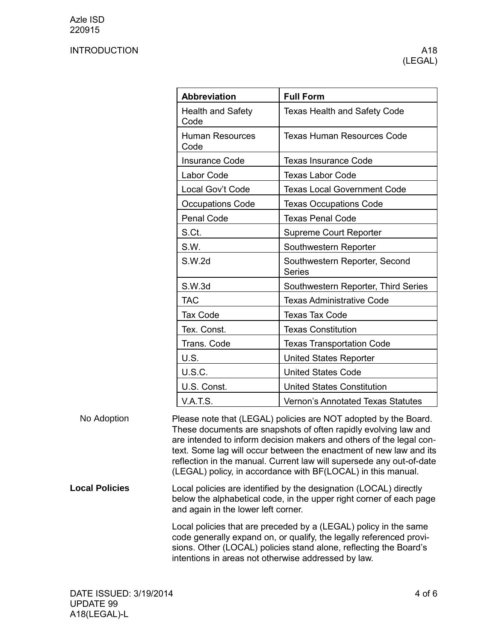## INTRODUCTION A18

| <b>Abbreviation</b>              | <b>Full Form</b>                               |
|----------------------------------|------------------------------------------------|
| <b>Health and Safety</b><br>Code | <b>Texas Health and Safety Code</b>            |
| <b>Human Resources</b><br>Code   | Texas Human Resources Code                     |
| <b>Insurance Code</b>            | <b>Texas Insurance Code</b>                    |
| Labor Code                       | <b>Texas Labor Code</b>                        |
| Local Gov't Code                 | <b>Texas Local Government Code</b>             |
| <b>Occupations Code</b>          | <b>Texas Occupations Code</b>                  |
| Penal Code                       | <b>Texas Penal Code</b>                        |
| S.Ct.                            | <b>Supreme Court Reporter</b>                  |
| S.W.                             | Southwestern Reporter                          |
| S.W.2d                           | Southwestern Reporter, Second<br><b>Series</b> |
| S.W.3d                           | Southwestern Reporter, Third Series            |
| <b>TAC</b>                       | <b>Texas Administrative Code</b>               |
| <b>Tax Code</b>                  | <b>Texas Tax Code</b>                          |
| Tex. Const.                      | <b>Texas Constitution</b>                      |
| Trans. Code                      | <b>Texas Transportation Code</b>               |
| U.S.                             | <b>United States Reporter</b>                  |
| <b>U.S.C.</b>                    | <b>United States Code</b>                      |
| U.S. Const.                      | <b>United States Constitution</b>              |
| <b>V.A.T.S.</b>                  | <b>Vernon's Annotated Texas Statutes</b>       |

Please note that (LEGAL) policies are NOT adopted by the Board. These documents are snapshots of often rapidly evolving law and are intended to inform decision makers and others of the legal context. Some lag will occur between the enactment of new law and its reflection in the manual. Current law will supersede any out-of-date (LEGAL) policy, in accordance with BF(LOCAL) in this manual. No Adoption **Local Policies**

Local policies are identified by the designation (LOCAL) directly below the alphabetical code, in the upper right corner of each page and again in the lower left corner.

> Local policies that are preceded by a (LEGAL) policy in the same code generally expand on, or qualify, the legally referenced provisions. Other (LOCAL) policies stand alone, reflecting the Board's intentions in areas not otherwise addressed by law.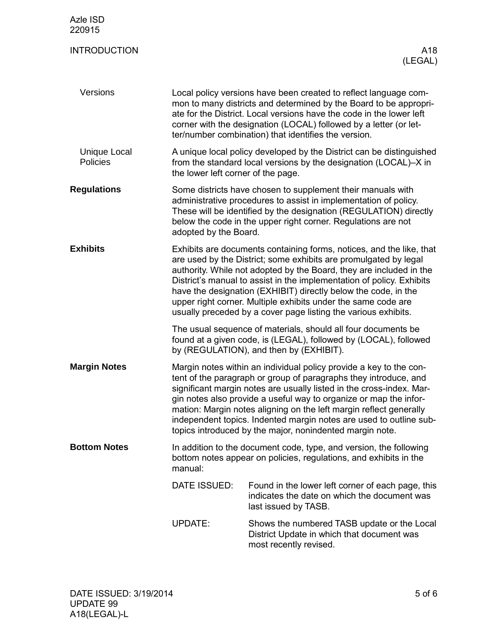| Azle ISD<br>220915                     |                                                                                                                                                                                                                                                                                                                                                                                                                                                                                               |                                                                                                                                                                              |  |
|----------------------------------------|-----------------------------------------------------------------------------------------------------------------------------------------------------------------------------------------------------------------------------------------------------------------------------------------------------------------------------------------------------------------------------------------------------------------------------------------------------------------------------------------------|------------------------------------------------------------------------------------------------------------------------------------------------------------------------------|--|
| <b>INTRODUCTION</b>                    |                                                                                                                                                                                                                                                                                                                                                                                                                                                                                               | A18<br>(LEGAL)                                                                                                                                                               |  |
| Versions                               | Local policy versions have been created to reflect language com-<br>mon to many districts and determined by the Board to be appropri-<br>ate for the District. Local versions have the code in the lower left<br>corner with the designation (LOCAL) followed by a letter (or let-<br>ter/number combination) that identifies the version.                                                                                                                                                    |                                                                                                                                                                              |  |
| <b>Unique Local</b><br><b>Policies</b> | A unique local policy developed by the District can be distinguished<br>from the standard local versions by the designation (LOCAL)-X in<br>the lower left corner of the page.                                                                                                                                                                                                                                                                                                                |                                                                                                                                                                              |  |
| <b>Regulations</b>                     | Some districts have chosen to supplement their manuals with<br>administrative procedures to assist in implementation of policy.<br>These will be identified by the designation (REGULATION) directly<br>below the code in the upper right corner. Regulations are not<br>adopted by the Board.                                                                                                                                                                                                |                                                                                                                                                                              |  |
| <b>Exhibits</b>                        | Exhibits are documents containing forms, notices, and the like, that<br>are used by the District; some exhibits are promulgated by legal<br>authority. While not adopted by the Board, they are included in the<br>District's manual to assist in the implementation of policy. Exhibits<br>have the designation (EXHIBIT) directly below the code, in the<br>upper right corner. Multiple exhibits under the same code are<br>usually preceded by a cover page listing the various exhibits. |                                                                                                                                                                              |  |
|                                        |                                                                                                                                                                                                                                                                                                                                                                                                                                                                                               | The usual sequence of materials, should all four documents be<br>found at a given code, is (LEGAL), followed by (LOCAL), followed<br>by (REGULATION), and then by (EXHIBIT). |  |
| <b>Margin Notes</b>                    | Margin notes within an individual policy provide a key to the con-<br>tent of the paragraph or group of paragraphs they introduce, and<br>significant margin notes are usually listed in the cross-index. Mar-<br>gin notes also provide a useful way to organize or map the infor-<br>mation: Margin notes aligning on the left margin reflect generally<br>independent topics. Indented margin notes are used to outline sub-<br>topics introduced by the major, nonindented margin note.   |                                                                                                                                                                              |  |
| <b>Bottom Notes</b>                    | In addition to the document code, type, and version, the following<br>bottom notes appear on policies, regulations, and exhibits in the<br>manual:                                                                                                                                                                                                                                                                                                                                            |                                                                                                                                                                              |  |
|                                        | DATE ISSUED:                                                                                                                                                                                                                                                                                                                                                                                                                                                                                  | Found in the lower left corner of each page, this<br>indicates the date on which the document was<br>last issued by TASB.                                                    |  |
|                                        | <b>UPDATE:</b>                                                                                                                                                                                                                                                                                                                                                                                                                                                                                | Shows the numbered TASB update or the Local<br>District Update in which that document was<br>most recently revised.                                                          |  |